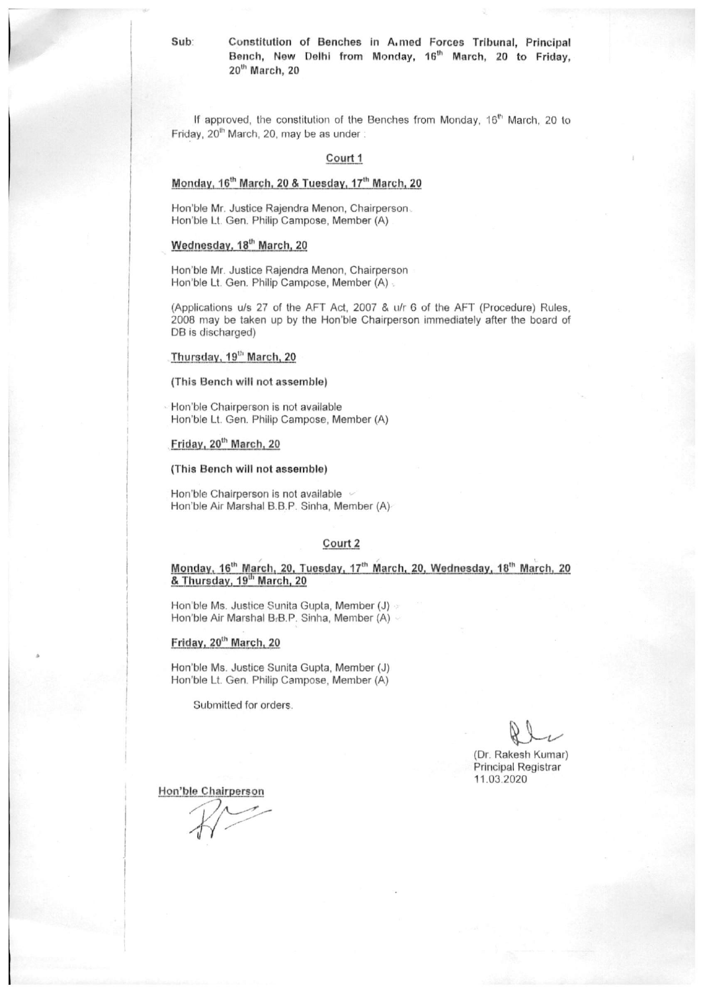Sub:

Constitution of Benches in A.med Forces Tribunal, Principal Bench, New Delhi from Monday, 16<sup>th</sup> March, 20 to Friday, 20<sup>th</sup> March, 20

If approved, the constitution of the Benches from Monday, 16<sup>th</sup> March, 20 to Friday, 20<sup>th</sup> March, 20, may be as under:

#### Court 1

#### Monday, 16th March, 20 & Tuesday, 17th March, 20

Hon'ble Mr. Justice Rajendra Menon, Chairperson. Hon'ble Lt. Gen. Philip Campose, Member (A)

#### Wednesday, 18<sup>th</sup> March, 20

Hon'ble Mr. Justice Rajendra Menon, Chairperson Hon'ble Lt. Gen. Philip Campose, Member (A) .

(Applications u/s 27 of the AFT Act, 2007 & u/r 6 of the AFT (Procedure) Rules, 2008 may be taken up by the Hon'ble Chairperson immediately after the board of DB is discharged)

#### Thursday, 19<sup>th</sup> March, 20

(This Bench will not assemble)

Hon'ble Chairperson is not available Hon'ble Lt. Gen. Philip Campose, Member (A)

### Friday, 20<sup>th</sup> March, 20

#### (This Bench will not assemble)

Hon'ble Chairperson is not available v Hon'ble Air Marshal B.B.P. Sinha, Member (A)

#### Court 2

Monday, 16<sup>th</sup> March, 20, Tuesday, 17<sup>th</sup> March, 20, Wednesday, 18<sup>th</sup> March, 20 & Thursday, 19<sup>th</sup> March, 20

Hon'ble Ms. Justice Sunita Gupta, Member (J) > Hon'ble Air Marshal B.B.P. Sinha, Member (A) -

#### Friday, 20<sup>th</sup> March, 20

Hon'ble Ms. Justice Sunita Gupta, Member (J) Hon'ble Lt. Gen. Philip Campose, Member (A)

Submitted for orders.

(Dr. Rakesh Kumar) Principal Registrar 11.03.2020

Hon'ble Chairperson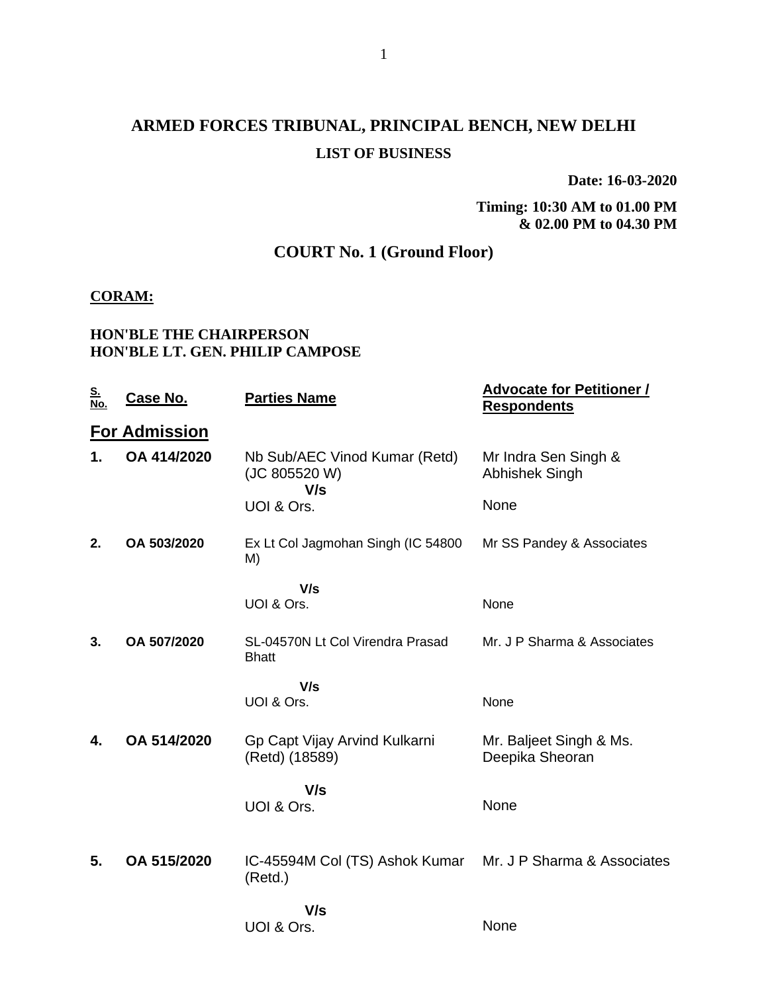# **ARMED FORCES TRIBUNAL, PRINCIPAL BENCH, NEW DELHI LIST OF BUSINESS**

**Date: 16-03-2020**

**Timing: 10:30 AM to 01.00 PM & 02.00 PM to 04.30 PM**

## **COURT No. 1 (Ground Floor)**

## **CORAM:**

## **HON'BLE THE CHAIRPERSON HON'BLE LT. GEN. PHILIP CAMPOSE**

| <u>S.<br/>No.</u> | <u>Case No.</u>      | <b>Parties Name</b>                                   | <b>Advocate for Petitioner /</b><br><b>Respondents</b> |
|-------------------|----------------------|-------------------------------------------------------|--------------------------------------------------------|
|                   | <b>For Admission</b> |                                                       |                                                        |
| 1.                | OA 414/2020          | Nb Sub/AEC Vinod Kumar (Retd)<br>(JC 805520 W)<br>V/s | Mr Indra Sen Singh &<br>Abhishek Singh                 |
|                   |                      | UOI & Ors.                                            | None                                                   |
| 2.                | OA 503/2020          | Ex Lt Col Jagmohan Singh (IC 54800<br>M)              | Mr SS Pandey & Associates                              |
|                   |                      | V/s<br>UOI & Ors.                                     | None                                                   |
| 3.                | OA 507/2020          | SL-04570N Lt Col Virendra Prasad<br><b>Bhatt</b>      | Mr. J P Sharma & Associates                            |
|                   |                      | V/s<br>UOI & Ors.                                     | None                                                   |
| 4.                | OA 514/2020          | Gp Capt Vijay Arvind Kulkarni<br>(Retd) (18589)       | Mr. Baljeet Singh & Ms.<br>Deepika Sheoran             |
|                   |                      | V/s<br>UOI & Ors.                                     | None                                                   |
| 5.                | OA 515/2020          | IC-45594M Col (TS) Ashok Kumar<br>(Retd.)             | Mr. J P Sharma & Associates                            |
|                   |                      | V/s<br>UOI & Ors.                                     | None                                                   |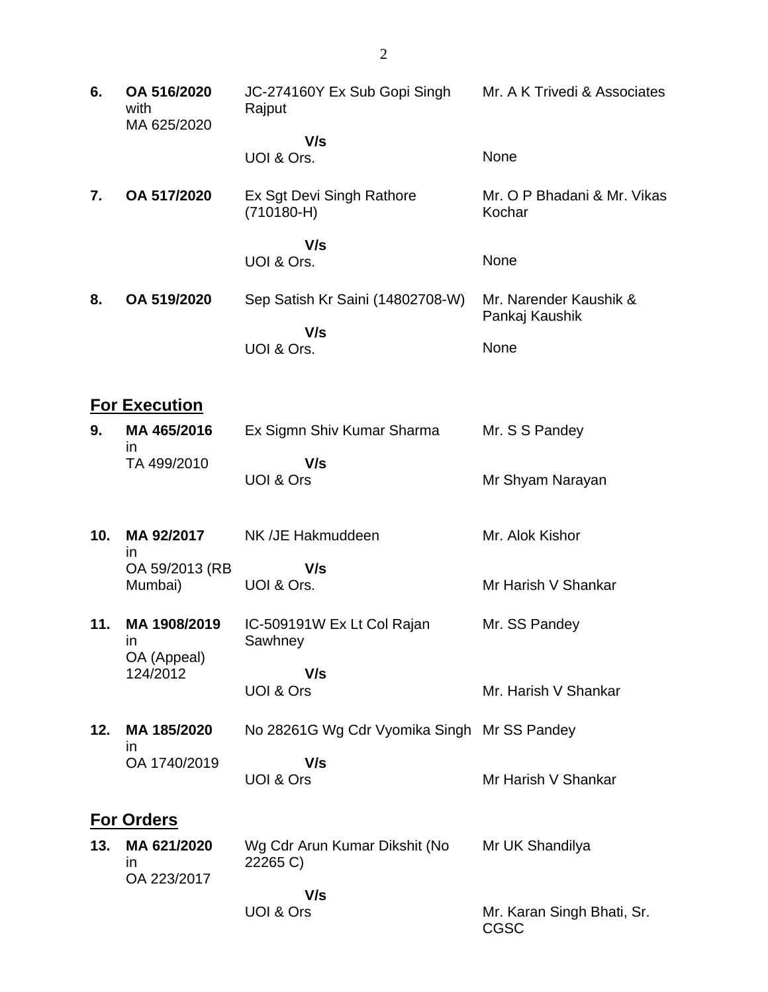| 6.  | OA 516/2020<br>with<br>MA 625/2020 | JC-274160Y Ex Sub Gopi Singh<br>Rajput      | Mr. A K Trivedi & Associates             |
|-----|------------------------------------|---------------------------------------------|------------------------------------------|
|     |                                    | V/s<br>UOI & Ors.                           | None                                     |
| 7.  | OA 517/2020                        | Ex Sgt Devi Singh Rathore<br>$(710180-H)$   | Mr. O P Bhadani & Mr. Vikas<br>Kochar    |
|     |                                    | V/s<br>UOI & Ors.                           | None                                     |
| 8.  | OA 519/2020                        | Sep Satish Kr Saini (14802708-W)            | Mr. Narender Kaushik &<br>Pankaj Kaushik |
|     |                                    | V/s<br>UOI & Ors.                           | None                                     |
|     | <b>For Execution</b>               |                                             |                                          |
| 9.  | MA 465/2016<br>$\mathsf{I}$        | Ex Sigmn Shiv Kumar Sharma                  | Mr. S S Pandey                           |
|     | TA 499/2010                        | V/s<br><b>UOI &amp; Ors</b>                 | Mr Shyam Narayan                         |
| 10. | MA 92/2017<br>ın                   | NK /JE Hakmuddeen                           | Mr. Alok Kishor                          |
|     | OA 59/2013 (RB<br>Mumbai)          | V/s<br>UOI & Ors.                           | Mr Harish V Shankar                      |
| 11. | MA 1908/2019<br>in<br>OA (Appeal)  | IC-509191W Ex Lt Col Rajan<br>Sawhney       | Mr. SS Pandey                            |
|     | 124/2012                           | V/s<br>UOI & Ors                            | Mr. Harish V Shankar                     |
| 12. | MA 185/2020<br>in                  | No 28261G Wg Cdr Vyomika Singh Mr SS Pandey |                                          |
|     | OA 1740/2019                       | V/s<br>UOI & Ors                            | Mr Harish V Shankar                      |
|     | <b>For Orders</b>                  |                                             |                                          |
| 13. | MA 621/2020<br>ın<br>OA 223/2017   | Wg Cdr Arun Kumar Dikshit (No<br>22265 C)   | Mr UK Shandilya                          |
|     |                                    | V/s<br>UOI & Ors                            | Mr. Karan Singh Bhati, Sr.<br>CGSC       |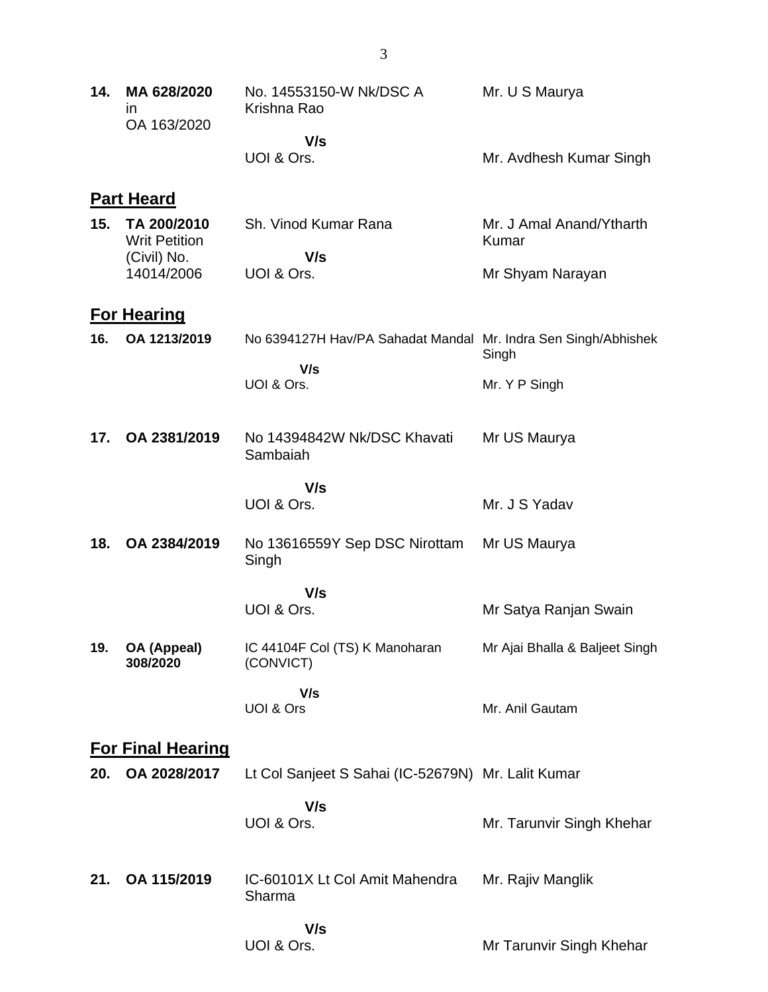| 14. | MA 628/2020<br>$\mathsf{I}$<br>OA 163/2020         | No. 14553150-W Nk/DSC A<br>Krishna Rao                         | Mr. U S Maurya                    |
|-----|----------------------------------------------------|----------------------------------------------------------------|-----------------------------------|
|     |                                                    | V/s<br>UOI & Ors.                                              | Mr. Avdhesh Kumar Singh           |
|     | <b>Part Heard</b>                                  |                                                                |                                   |
| 15. | TA 200/2010<br><b>Writ Petition</b><br>(Civil) No. | Sh. Vinod Kumar Rana<br>V/s                                    | Mr. J Amal Anand/Ytharth<br>Kumar |
|     | 14014/2006                                         | UOI & Ors.                                                     | Mr Shyam Narayan                  |
|     |                                                    |                                                                |                                   |
| 16. | <b>For Hearing</b><br>OA 1213/2019                 | No 6394127H Hav/PA Sahadat Mandal Mr. Indra Sen Singh/Abhishek | Singh                             |
|     |                                                    | V/s<br>UOI & Ors.                                              | Mr. Y P Singh                     |
|     |                                                    |                                                                |                                   |
| 17. | OA 2381/2019                                       | No 14394842W Nk/DSC Khavati<br>Sambaiah                        | Mr US Maurya                      |
|     |                                                    | V/s<br>UOI & Ors.                                              | Mr. J S Yadav                     |
| 18. | OA 2384/2019                                       | No 13616559Y Sep DSC Nirottam<br>Singh                         | Mr US Maurya                      |
|     |                                                    | V/s                                                            |                                   |
|     |                                                    | UOI & Ors.                                                     | Mr Satya Ranjan Swain             |
| 19. | OA (Appeal)<br>308/2020                            | IC 44104F Col (TS) K Manoharan<br>(CONVICT)                    | Mr Ajai Bhalla & Baljeet Singh    |
|     |                                                    | V/s<br>UOI & Ors                                               | Mr. Anil Gautam                   |
|     | <b>For Final Hearing</b>                           |                                                                |                                   |
| 20. | OA 2028/2017                                       | Lt Col Sanjeet S Sahai (IC-52679N) Mr. Lalit Kumar             |                                   |
|     |                                                    | V/s<br>UOI & Ors.                                              | Mr. Tarunvir Singh Khehar         |
| 21. | OA 115/2019                                        | IC-60101X Lt Col Amit Mahendra<br>Sharma                       | Mr. Rajiv Manglik                 |
|     |                                                    | V/s<br>UOI & Ors.                                              | Mr Tarunvir Singh Khehar          |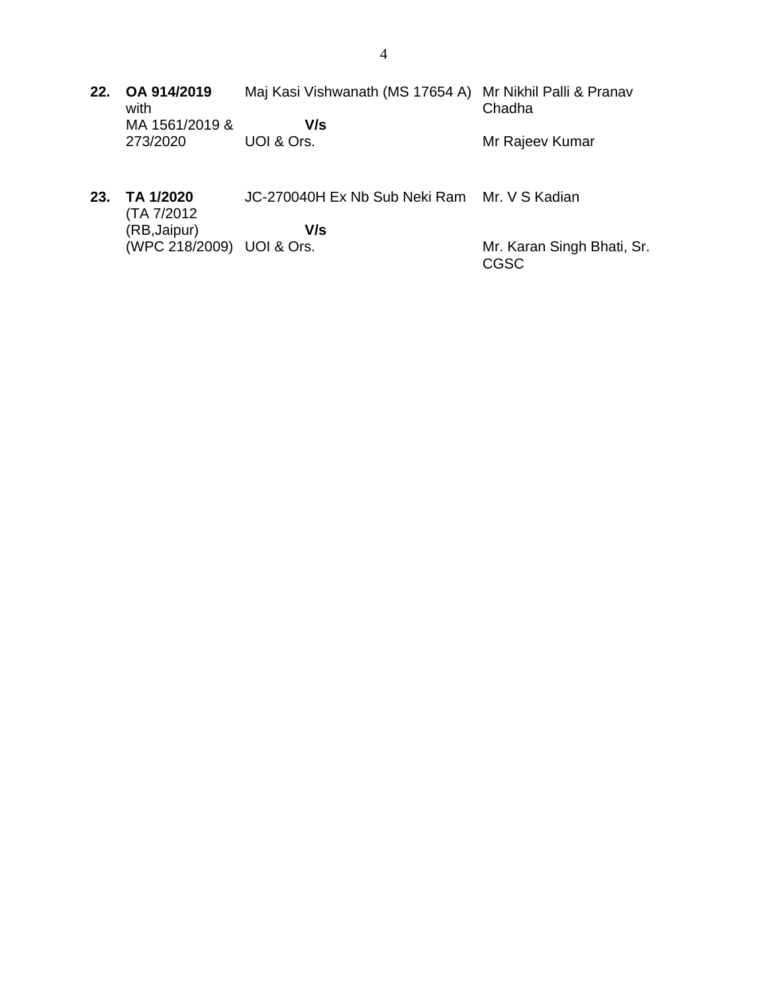- **22. OA 914/2019** with MA 1561/2019 & 273/2020 Maj Kasi Vishwanath (MS 17654 A) Mr Nikhil Palli & Pranav  **V/s** UOI & Ors. Chadha Mr Rajeev Kumar
- **23. TA 1/2020** (TA 7/2012 (RB,Jaipur) (WPC 218/2009) UOI & Ors. JC-270040H Ex Nb Sub Neki Ram Mr. V S Kadian  **V/s** Mr. Karan Singh Bhati, Sr. CGSC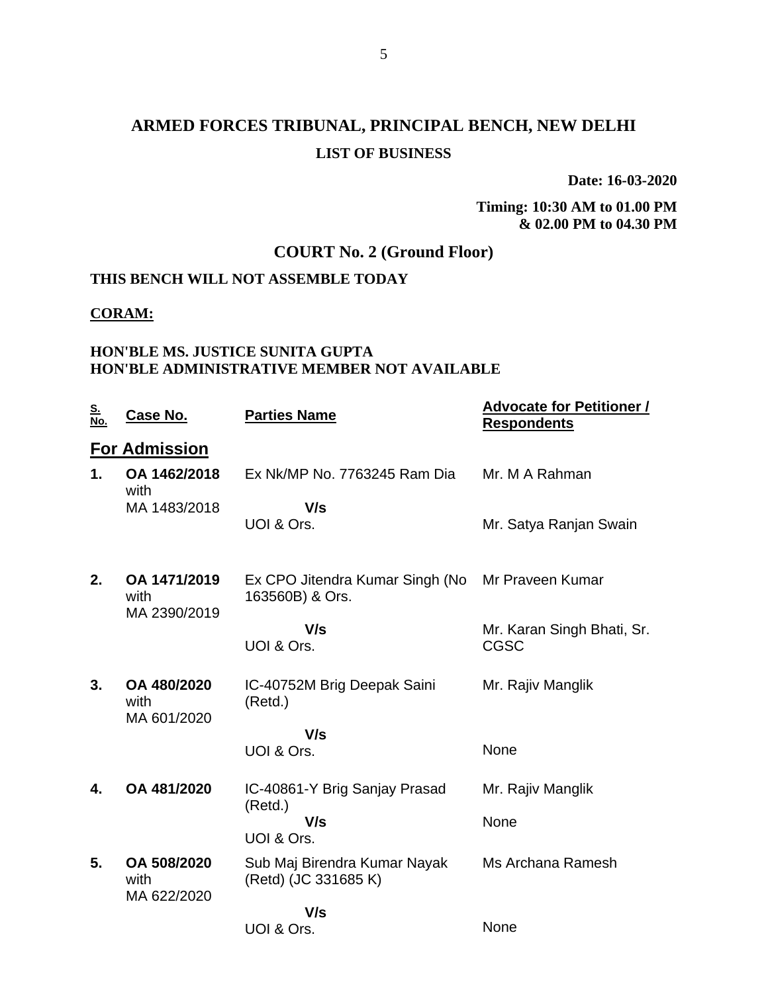# **ARMED FORCES TRIBUNAL, PRINCIPAL BENCH, NEW DELHI LIST OF BUSINESS**

**Date: 16-03-2020**

**Timing: 10:30 AM to 01.00 PM & 02.00 PM to 04.30 PM**

## **COURT No. 2 (Ground Floor)**

# **THIS BENCH WILL NOT ASSEMBLE TODAY**

## **CORAM:**

### **HON'BLE MS. JUSTICE SUNITA GUPTA HON'BLE ADMINISTRATIVE MEMBER NOT AVAILABLE**

| <u>S.</u><br><u>No.</u> | Case No.                             | <b>Parties Name</b>                                  | <u><b>Advocate for Petitioner /</b></u><br><b>Respondents</b> |
|-------------------------|--------------------------------------|------------------------------------------------------|---------------------------------------------------------------|
|                         | <b>For Admission</b>                 |                                                      |                                                               |
| 1.                      | OA 1462/2018<br>with                 | Ex Nk/MP No. 7763245 Ram Dia                         | Mr. M A Rahman                                                |
|                         | MA 1483/2018                         | V/s<br>UOI & Ors.                                    | Mr. Satya Ranjan Swain                                        |
| 2.                      | OA 1471/2019<br>with<br>MA 2390/2019 | Ex CPO Jitendra Kumar Singh (No<br>163560B) & Ors.   | Mr Praveen Kumar                                              |
|                         |                                      | V/s<br>UOI & Ors.                                    | Mr. Karan Singh Bhati, Sr.<br><b>CGSC</b>                     |
| 3.                      | OA 480/2020<br>with<br>MA 601/2020   | IC-40752M Brig Deepak Saini<br>(Retd.)               | Mr. Rajiv Manglik                                             |
|                         |                                      | V/s                                                  |                                                               |
|                         |                                      | UOI & Ors.                                           | None                                                          |
| 4.                      | OA 481/2020                          | IC-40861-Y Brig Sanjay Prasad<br>(Retd.)             | Mr. Rajiv Manglik                                             |
|                         |                                      | V/s<br>UOI & Ors.                                    | None                                                          |
| 5.                      | OA 508/2020<br>with                  | Sub Maj Birendra Kumar Nayak<br>(Retd) (JC 331685 K) | Ms Archana Ramesh                                             |
|                         | MA 622/2020                          | V/s                                                  |                                                               |
|                         |                                      | UOI & Ors.                                           | None                                                          |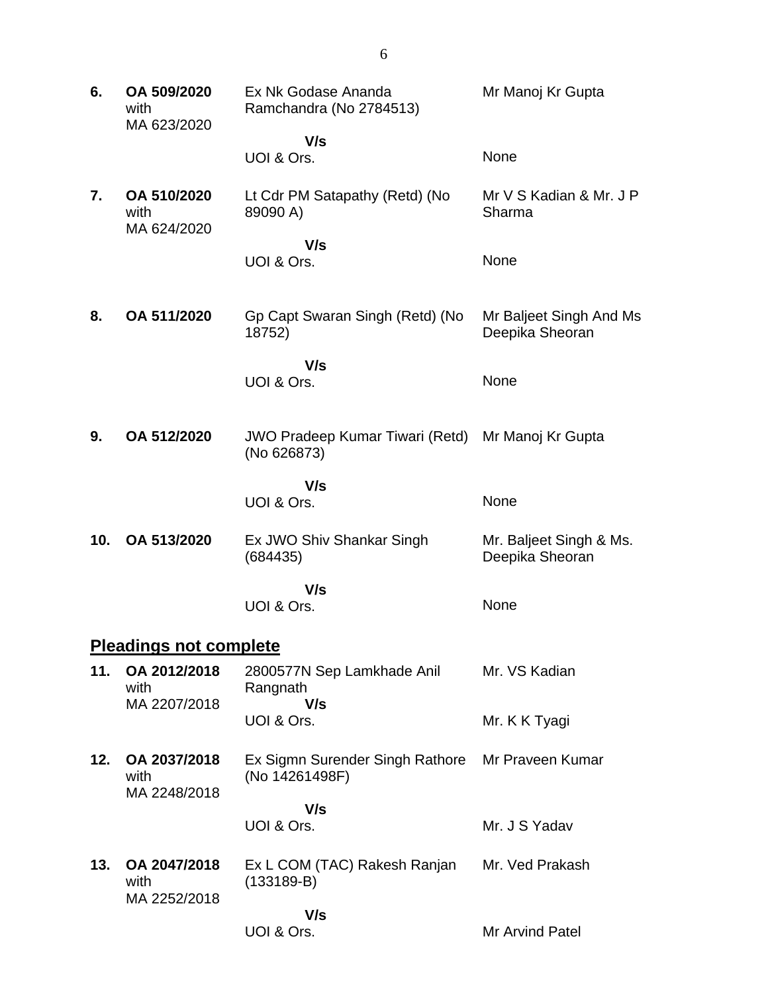**6. OA 509/2020** with MA 623/2020 Ex Nk Godase Ananda Ramchandra (No 2784513)  **V/s** UOI & Ors. Mr Manoj Kr Gupta None **7. OA 510/2020** with MA 624/2020 Lt Cdr PM Satapathy (Retd) (No 89090 A)  **V/s** UOI & Ors. Mr V S Kadian & Mr. J P Sharma None **8. OA 511/2020** Gp Capt Swaran Singh (Retd) (No 18752)  **V/s** UOI & Ors. Mr Baljeet Singh And Ms Deepika Sheoran None **9. OA 512/2020** JWO Pradeep Kumar Tiwari (Retd) (No 626873)  **V/s** UOI & Ors. Mr Manoj Kr Gupta None **10. OA 513/2020** Ex JWO Shiv Shankar Singh (684435)  **V/s** UOI & Ors. Mr. Baljeet Singh & Ms. Deepika Sheoran None **Pleadings not complete 11. OA 2012/2018** with MA 2207/2018 2800577N Sep Lamkhade Anil Rangnath  **V/s** UOI & Ors. Mr. VS Kadian Mr. K K Tyagi **12. OA 2037/2018** with MA 2248/2018 Ex Sigmn Surender Singh Rathore (No 14261498F)  **V/s** UOI & Ors. Mr Praveen Kumar Mr. J S Yadav **13. OA 2047/2018** with MA 2252/2018 Ex L COM (TAC) Rakesh Ranjan (133189-B)  **V/s** UOI & Ors. Mr. Ved Prakash Mr Arvind Patel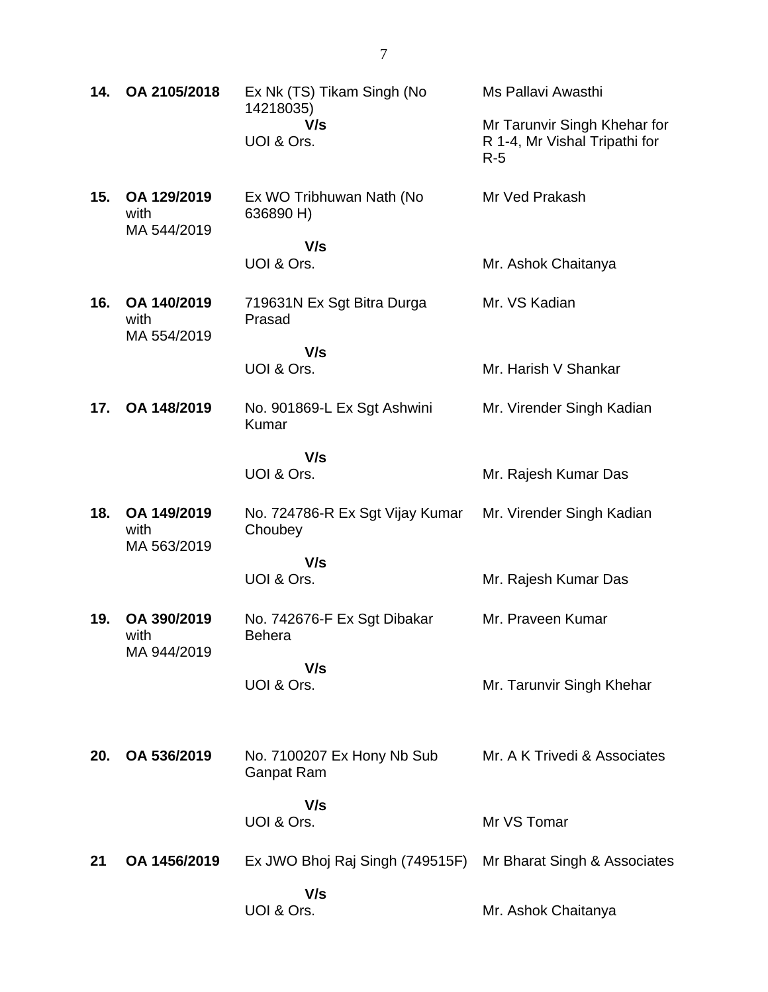| 14. | OA 2105/2018                       | Ex Nk (TS) Tikam Singh (No<br>14218035)<br>V/s<br>UOI & Ors. | Ms Pallavi Awasthi<br>Mr Tarunvir Singh Khehar for<br>R 1-4, Mr Vishal Tripathi for |
|-----|------------------------------------|--------------------------------------------------------------|-------------------------------------------------------------------------------------|
|     | OA 129/2019                        |                                                              | $R-5$                                                                               |
| 15. | with<br>MA 544/2019                | Ex WO Tribhuwan Nath (No<br>636890 H)<br>V/s                 | Mr Ved Prakash                                                                      |
|     |                                    | UOI & Ors.                                                   | Mr. Ashok Chaitanya                                                                 |
| 16. | OA 140/2019<br>with<br>MA 554/2019 | 719631N Ex Sgt Bitra Durga<br>Prasad                         | Mr. VS Kadian                                                                       |
|     |                                    | V/s<br>UOI & Ors.                                            | Mr. Harish V Shankar                                                                |
| 17. | OA 148/2019                        | No. 901869-L Ex Sgt Ashwini<br>Kumar                         | Mr. Virender Singh Kadian                                                           |
|     |                                    | V/s<br>UOI & Ors.                                            | Mr. Rajesh Kumar Das                                                                |
| 18. | OA 149/2019<br>with<br>MA 563/2019 | No. 724786-R Ex Sgt Vijay Kumar<br>Choubey                   | Mr. Virender Singh Kadian                                                           |
|     |                                    | V/s<br>UOI & Ors.                                            | Mr. Rajesh Kumar Das                                                                |
| 19. | OA 390/2019<br>with<br>MA 944/2019 | No. 742676-F Ex Sgt Dibakar<br><b>Behera</b>                 | Mr. Praveen Kumar                                                                   |
|     |                                    | V/s<br>UOI & Ors.                                            | Mr. Tarunvir Singh Khehar                                                           |
| 20. | OA 536/2019                        | No. 7100207 Ex Hony Nb Sub<br><b>Ganpat Ram</b>              | Mr. A K Trivedi & Associates                                                        |
|     |                                    | V/s<br>UOI & Ors.                                            | Mr VS Tomar                                                                         |
| 21  | OA 1456/2019                       | Ex JWO Bhoj Raj Singh (749515F)                              | Mr Bharat Singh & Associates                                                        |
|     |                                    | V/s<br>UOI & Ors.                                            | Mr. Ashok Chaitanya                                                                 |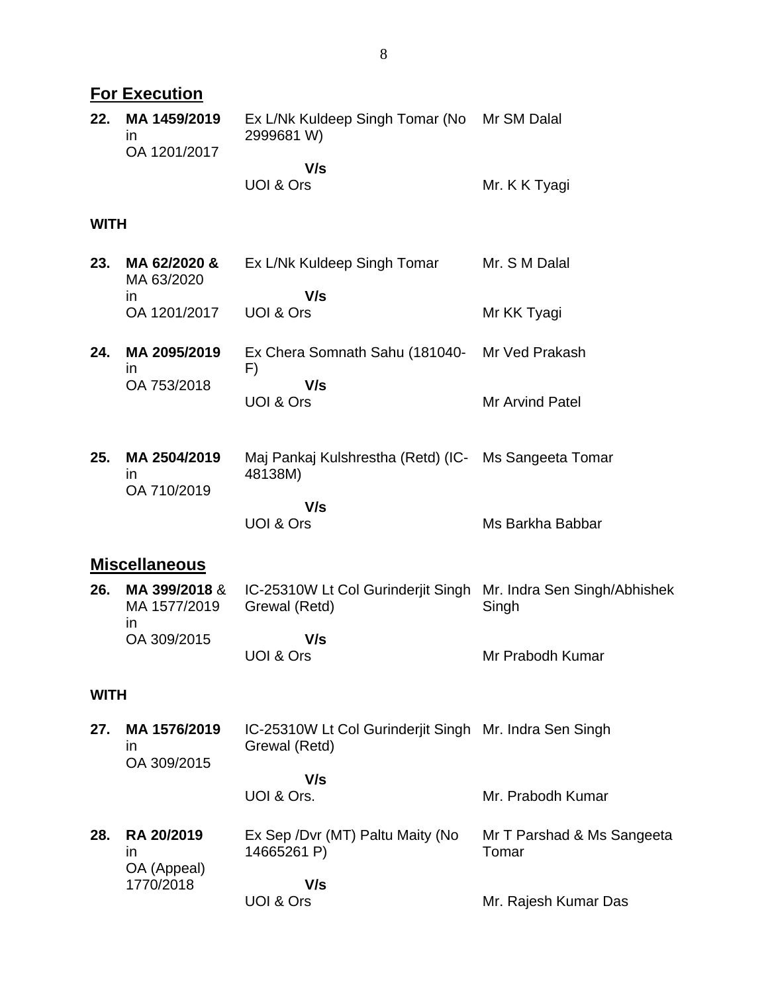|             | <b>For Execution</b>                                |                                                                                  |                                     |  |  |
|-------------|-----------------------------------------------------|----------------------------------------------------------------------------------|-------------------------------------|--|--|
| 22.         | MA 1459/2019<br>$\mathsf{I}$<br>OA 1201/2017        | Ex L/Nk Kuldeep Singh Tomar (No<br>2999681 W)                                    | Mr SM Dalal                         |  |  |
|             |                                                     | V/s<br>UOI & Ors                                                                 | Mr. K K Tyagi                       |  |  |
| <b>WITH</b> |                                                     |                                                                                  |                                     |  |  |
| 23.         | MA 62/2020 &<br>MA 63/2020<br><i>in</i>             | Ex L/Nk Kuldeep Singh Tomar<br>V/s                                               | Mr. S M Dalal                       |  |  |
|             | OA 1201/2017                                        | UOI & Ors                                                                        | Mr KK Tyagi                         |  |  |
| 24.         | MA 2095/2019<br>$\mathsf{I}$                        | Ex Chera Somnath Sahu (181040-<br>F)                                             | Mr Ved Prakash                      |  |  |
|             | OA 753/2018                                         | V/s<br><b>UOI &amp; Ors</b>                                                      | <b>Mr Arvind Patel</b>              |  |  |
| 25.         | MA 2504/2019<br>ın                                  | Maj Pankaj Kulshrestha (Retd) (IC- Ms Sangeeta Tomar<br>48138M)                  |                                     |  |  |
|             | OA 710/2019                                         | V/s<br><b>UOI &amp; Ors</b>                                                      | Ms Barkha Babbar                    |  |  |
|             | <b>Miscellaneous</b>                                |                                                                                  |                                     |  |  |
| 26.         | MA 399/2018 &<br>MA 1577/2019<br><i>in</i>          | IC-25310W Lt Col Gurinderjit Singh Mr. Indra Sen Singh/Abhishek<br>Grewal (Retd) | Singh                               |  |  |
|             | OA 309/2015                                         | V/s<br>UOI & Ors                                                                 | Mr Prabodh Kumar                    |  |  |
| <b>WITH</b> |                                                     |                                                                                  |                                     |  |  |
| 27.         | MA 1576/2019<br>$\mathsf{I}$                        | IC-25310W Lt Col Gurinderjit Singh Mr. Indra Sen Singh<br>Grewal (Retd)          |                                     |  |  |
|             | OA 309/2015                                         | V/s<br>UOI & Ors.                                                                | Mr. Prabodh Kumar                   |  |  |
| 28.         | RA 20/2019<br><i>in</i><br>OA (Appeal)<br>1770/2018 | Ex Sep / Dvr (MT) Paltu Maity (No<br>14665261 P)                                 | Mr T Parshad & Ms Sangeeta<br>Tomar |  |  |
|             |                                                     | V/s<br>UOI & Ors                                                                 | Mr. Rajesh Kumar Das                |  |  |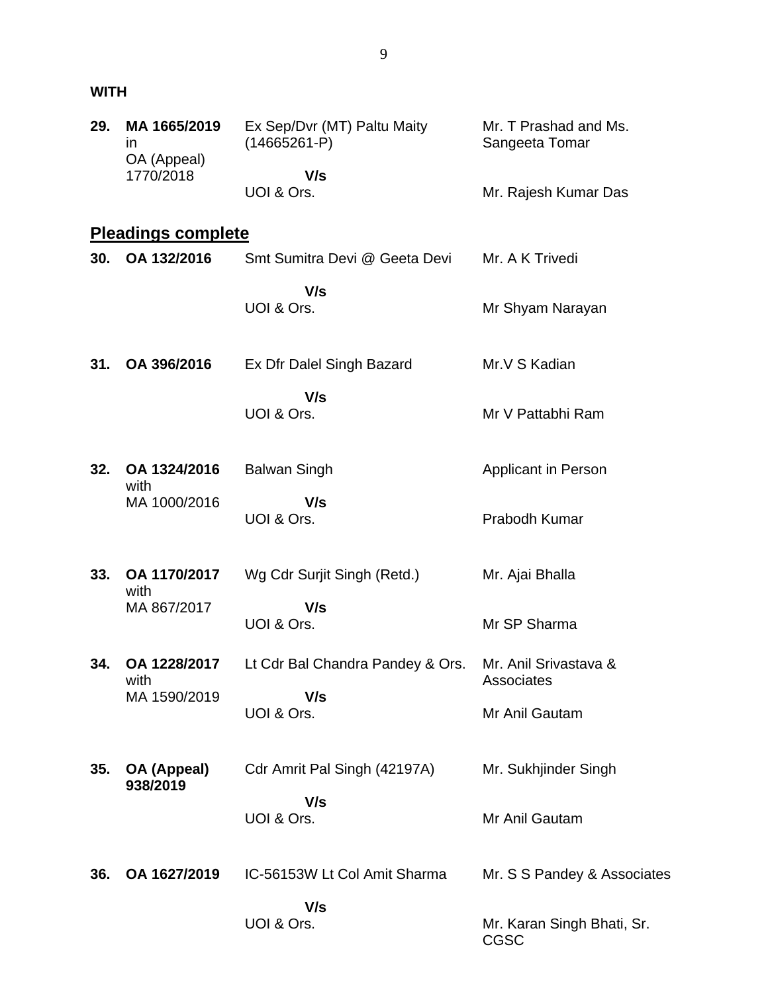## **WITH**

| 29. | MA 1665/2019<br><i>in</i><br>OA (Appeal)<br>1770/2018 | Ex Sep/Dvr (MT) Paltu Maity<br>$(14665261-P)$ | Mr. T Prashad and Ms.<br>Sangeeta Tomar   |
|-----|-------------------------------------------------------|-----------------------------------------------|-------------------------------------------|
|     |                                                       | V/s<br>UOI & Ors.                             | Mr. Rajesh Kumar Das                      |
|     | <b>Pleadings complete</b>                             |                                               |                                           |
| 30. | OA 132/2016                                           | Smt Sumitra Devi @ Geeta Devi                 | Mr. A K Trivedi                           |
|     |                                                       | V/s<br>UOI & Ors.                             | Mr Shyam Narayan                          |
| 31. | OA 396/2016                                           | Ex Dfr Dalel Singh Bazard                     | Mr.V S Kadian                             |
|     |                                                       | V/s<br>UOI & Ors.                             | Mr V Pattabhi Ram                         |
| 32. | OA 1324/2016<br>with<br>MA 1000/2016                  | <b>Balwan Singh</b>                           | Applicant in Person                       |
|     |                                                       | V/s<br>UOI & Ors.                             | Prabodh Kumar                             |
| 33. | OA 1170/2017<br>with<br>MA 867/2017                   | Wg Cdr Surjit Singh (Retd.)                   | Mr. Ajai Bhalla                           |
|     |                                                       | V/s<br>UOI & Ors.                             | Mr SP Sharma                              |
| 34. | OA 1228/2017<br>with<br>MA 1590/2019                  | Lt Cdr Bal Chandra Pandey & Ors.              | Mr. Anil Srivastava &<br>Associates       |
|     |                                                       | V/s<br>UOI & Ors.                             | Mr Anil Gautam                            |
| 35. | OA (Appeal)<br>938/2019                               | Cdr Amrit Pal Singh (42197A)                  | Mr. Sukhjinder Singh                      |
|     |                                                       | V/s<br>UOI & Ors.                             | Mr Anil Gautam                            |
| 36. | OA 1627/2019                                          | IC-56153W Lt Col Amit Sharma                  | Mr. S S Pandey & Associates               |
|     |                                                       | V/s<br>UOI & Ors.                             | Mr. Karan Singh Bhati, Sr.<br><b>CGSC</b> |